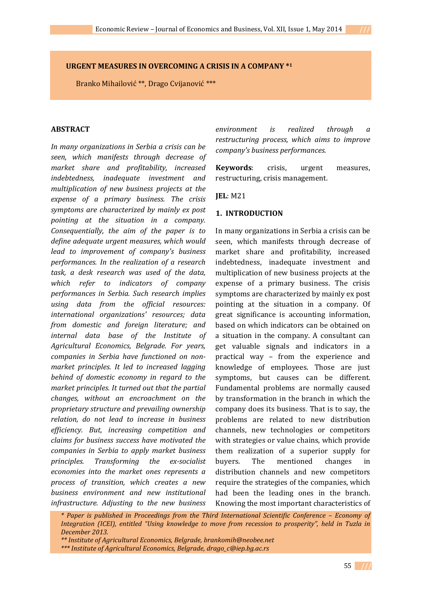# **URGENT MEASURES IN OVERCOMING A CRISIS IN A COMPANY \*<sup>1</sup>**

Branko Mihailović \*\*, Drago Cvijanović \*\*\*

# **ABSTRACT**

*In many organizations in Serbia a crisis can be seen, which manifests through decrease of market share and profitability, increased indebtedness, inadequate investment and multiplication of new business projects at the expense of a primary business. The crisis symptoms are characterized by mainly ex post pointing at the situation in a company. Consequentially, the aim of the paper is to define adequate urgent measures, which would lead to improvement of company's business performances. In the realization of a research task, a desk research was used of the data, which refer to indicators of company performances in Serbia. Such research implies using data from the official resources: international organizations' resources; data from domestic and foreign literature; and internal data base of the Institute of Agricultural Economics, Belgrade. For years, companies in Serbia have functioned on nonmarket principles. It led to increased lagging behind of domestic economy in regard to the market principles. It turned out that the partial changes, without an encroachment on the proprietary structure and prevailing ownership relation, do not lead to increase in business efficiency. But, increasing competition and claims for business success have motivated the companies in Serbia to apply market business principles. Transforming the ex-socialist economies into the market ones represents a process of transition, which creates a new business environment and new institutional infrastructure. Adjusting to the new business*  *environment is realized through a restructuring process, which aims to improve company's business performances.* 

**Keywords**: crisis, urgent measures, restructuring, crisis management.

**JEL**: M21

#### **1. INTRODUCTION**

In many organizations in Serbia a crisis can be seen, which manifests through decrease of market share and profitability, increased indebtedness, inadequate investment and multiplication of new business projects at the expense of a primary business. The crisis symptoms are characterized by mainly ex post pointing at the situation in a company. Of great significance is accounting information, based on which indicators can be obtained on a situation in the company. A consultant can get valuable signals and indicators in a practical way – from the experience and knowledge of employees. Those are just symptoms, but causes can be different. Fundamental problems are normally caused by transformation in the branch in which the company does its business. That is to say, the problems are related to new distribution channels, new technologies or competitors with strategies or value chains, which provide them realization of a superior supply for buyers. The mentioned changes in distribution channels and new competitors require the strategies of the companies, which had been the leading ones in the branch. Knowing the most important characteristics of

*\* Paper is published in Proceedings from the Third International Scientific Conference – Economy of Integration (ICEI), entitled "Using knowledge to move from recession to prosperity", held in Tuzla in December 2013.* 

 *\*\* Institute of Agricultural Economics, Belgrade, brankomih@neobee.net \*\*\* Institute of Agricultural Economics, Belgrade, drago\_c@iep.bg.ac.rs* 

<sup>55</sup> **///**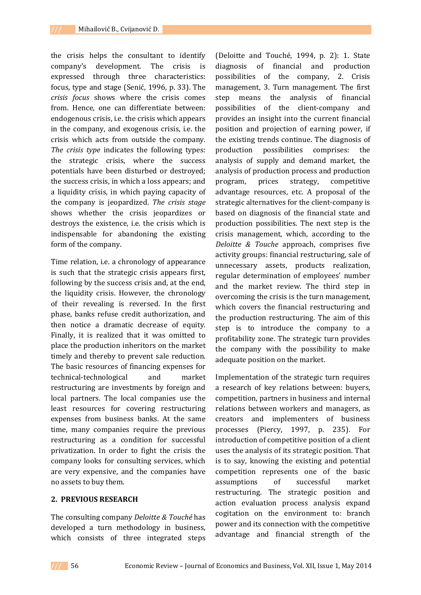the crisis helps the consultant to identify company's development. The crisis is expressed through three characteristics: focus, type and stage (Senić, 1996, p. 33). The *crisis focus* shows where the crisis comes from. Hence, one can differentiate between: endogenous crisis, i.e. the crisis which appears in the company, and exogenous crisis, i.e. the crisis which acts from outside the company. *The crisis type* indicates the following types: the strategic crisis, where the success potentials have been disturbed or destroyed; the success crisis, in which a loss appears; and a liquidity crisis, in which paying capacity of the company is jeopardized. *The crisis stage* shows whether the crisis jeopardizes or destroys the existence, i.e. the crisis which is indispensable for abandoning the existing form of the company.

Time relation, i.e. a chronology of appearance is such that the strategic crisis appears first, following by the success crisis and, at the end, the liquidity crisis. However, the chronology of their revealing is reversed. In the first phase, banks refuse credit authorization, and then notice a dramatic decrease of equity. Finally, it is realized that it was omitted to place the production inheritors on the market timely and thereby to prevent sale reduction. The basic resources of financing expenses for technical-technological and market restructuring are investments by foreign and local partners. The local companies use the least resources for covering restructuring expenses from business banks. At the same time, many companies require the previous restructuring as a condition for successful privatization. In order to fight the crisis the company looks for consulting services, which are very expensive, and the companies have no assets to buy them.

# **2. PREVIOUS RESEARCH**

The consulting company *Deloitte & Touché* has developed a turn methodology in business, which consists of three integrated steps

(Deloitte and Touché, 1994, p. 2): 1. State diagnosis of financial and production possibilities of the company, 2. Crisis management, 3. Turn management. The first step means the analysis of financial possibilities of the client-company and provides an insight into the current financial position and projection of earning power, if the existing trends continue. The diagnosis of production possibilities comprises: the analysis of supply and demand market, the analysis of production process and production program, prices strategy, competitive advantage resources, etc. A proposal of the strategic alternatives for the client-company is based on diagnosis of the financial state and production possibilities. The next step is the crisis management, which, according to the *Deloitte & Touche* approach, comprises five activity groups: financial restructuring, sale of unnecessary assets, products realization, regular determination of employees' number and the market review. The third step in overcoming the crisis is the turn management, which covers the financial restructuring and the production restructuring. The aim of this step is to introduce the company to a profitability zone. The strategic turn provides the company with the possibility to make adequate position on the market.

Implementation of the strategic turn requires a research of key relations between: buyers, competition, partners in business and internal relations between workers and managers, as creators and implementers of business processes (Piercy, 1997, p. 235). For introduction of competitive position of a client uses the analysis of its strategic position. That is to say, knowing the existing and potential competition represents one of the basic assumptions of successful market restructuring. The strategic position and action evaluation process analysis expand cogitation on the environment to: branch power and its connection with the competitive advantage and financial strength of the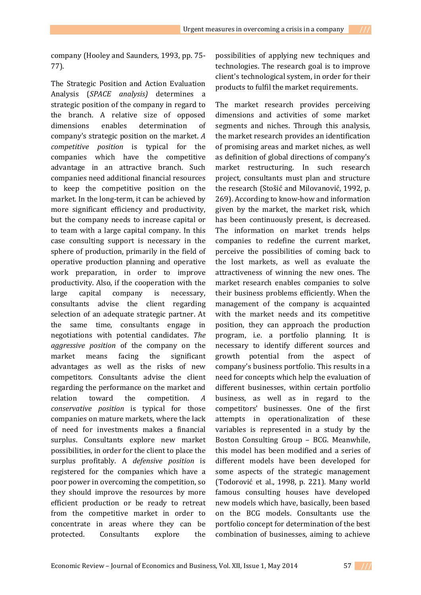company (Hooley and Saunders, 1993, pp. 75- 77).

The Strategic Position and Action Evaluation Analysis (*SPACE analysis)* determines a strategic position of the company in regard to the branch. A relative size of opposed dimensions enables determination of company's strategic position on the market. *A competitive position* is typical for the companies which have the competitive advantage in an attractive branch. Such companies need additional financial resources to keep the competitive position on the market. In the long-term, it can be achieved by more significant efficiency and productivity, but the company needs to increase capital or to team with a large capital company. In this case consulting support is necessary in the sphere of production, primarily in the field of operative production planning and operative work preparation, in order to improve productivity. Also, if the cooperation with the large capital company is necessary, consultants advise the client regarding selection of an adequate strategic partner. At the same time, consultants engage in negotiations with potential candidates. *The aggressive position* of the company on the market means facing the significant advantages as well as the risks of new competitors. Consultants advise the client regarding the performance on the market and relation toward the competition. *A conservative position* is typical for those companies on mature markets, where the lack of need for investments makes a financial surplus. Consultants explore new market possibilities, in order for the client to place the surplus profitably. A *defensive position* is registered for the companies which have a poor power in overcoming the competition, so they should improve the resources by more efficient production or be ready to retreat from the competitive market in order to concentrate in areas where they can be protected. Consultants explore the

possibilities of applying new techniques and technologies. The research goal is to improve client's technological system, in order for their products to fulfil the market requirements.

The market research provides perceiving dimensions and activities of some market segments and niches. Through this analysis, the market research provides an identification of promising areas and market niches, as well as definition of global directions of company's market restructuring. In such research project, consultants must plan and structure the research (Stošić and Milovanović, 1992, p. 269). According to know-how and information given by the market, the market risk, which has been continuously present, is decreased. The information on market trends helps companies to redefine the current market, perceive the possibilities of coming back to the lost markets, as well as evaluate the attractiveness of winning the new ones. The market research enables companies to solve their business problems efficiently. When the management of the company is acquainted with the market needs and its competitive position, they can approach the production program, i.e. a portfolio planning. It is necessary to identify different sources and growth potential from the aspect of company's business portfolio. This results in a need for concepts which help the evaluation of different businesses, within certain portfolio business, as well as in regard to the competitors' businesses. One of the first attempts in operationalization of these variables is represented in a study by the Boston Consulting Group – BCG. Meanwhile, this model has been modified and a series of different models have been developed for some aspects of the strategic management (Todorović et al., 1998, p. 221). Many world famous consulting houses have developed new models which have, basically, been based on the BCG models. Consultants use the portfolio concept for determination of the best combination of businesses, aiming to achieve

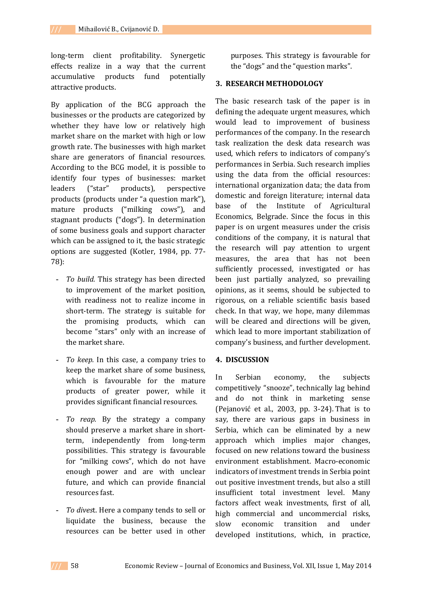long-term client profitability. Synergetic effects realize in a way that the current accumulative products fund potentially attractive products.

By application of the BCG approach the businesses or the products are categorized by whether they have low or relatively high market share on the market with high or low growth rate. The businesses with high market share are generators of financial resources. According to the BCG model, it is possible to identify four types of businesses: market leaders ("star" products), perspective products (products under "a question mark"), mature products ("milking cows"), and stagnant products ("dogs"). In determination of some business goals and support character which can be assigned to it, the basic strategic options are suggested (Kotler, 1984, pp. 77- 78):

- **-** *To build.* This strategy has been directed to improvement of the market position, with readiness not to realize income in short-term. The strategy is suitable for the promising products, which can become "stars" only with an increase of the market share.
- **-** *To keep.* In this case, a company tries to keep the market share of some business, which is favourable for the mature products of greater power, while it provides significant financial resources.
- **-** *To reap.* By the strategy a company should preserve a market share in shortterm, independently from long-term possibilities. This strategy is favourable for "milking cows", which do not have enough power and are with unclear future, and which can provide financial resources fast.
- **-** *To dives*t. Here a company tends to sell or liquidate the business, because the resources can be better used in other

purposes. This strategy is favourable for the "dogs" and the "question marks".

# **3. RESEARCH METHODOLOGY**

The basic research task of the paper is in defining the adequate urgent measures, which would lead to improvement of business performances of the company. In the research task realization the desk data research was used, which refers to indicators of company's performances in Serbia. Such research implies using the data from the official resources: international organization data; the data from domestic and foreign literature; internal data base of the Institute of Agricultural Economics, Belgrade. Since the focus in this paper is on urgent measures under the crisis conditions of the company, it is natural that the research will pay attention to urgent measures, the area that has not been sufficiently processed, investigated or has been just partially analyzed, so prevailing opinions, as it seems, should be subjected to rigorous, on a reliable scientific basis based check. In that way, we hope, many dilemmas will be cleared and directions will be given, which lead to more important stabilization of company's business, and further development.

#### **4. DISCUSSION**

In Serbian economy, the subjects competitively "snooze", technically lag behind and do not think in marketing sense (Pejanović et al., 2003, pp. 3-24). That is to say, there are various gaps in business in Serbia, which can be eliminated by a new approach which implies major changes, focused on new relations toward the business environment establishment. Macro-economic indicators of investment trends in Serbia point out positive investment trends, but also a still insufficient total investment level. Many factors affect weak investments, first of all, high commercial and uncommercial risks, slow economic transition and under developed institutions, which, in practice,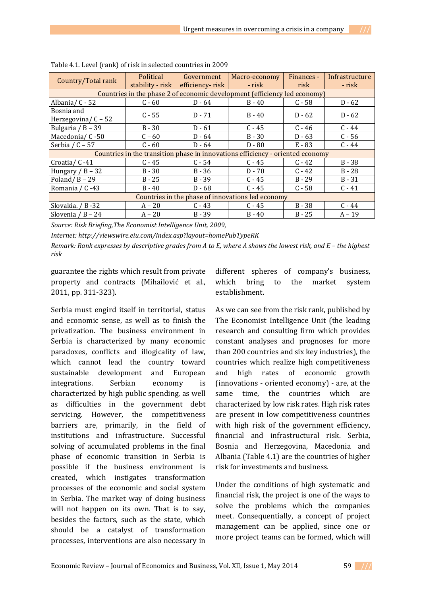| Country/Total rank                                                             | Political<br>stability - risk | Government<br>efficiency-risk | Macro-economy<br>- risk | Finances -<br>risk | Infrastructure<br>- risk |
|--------------------------------------------------------------------------------|-------------------------------|-------------------------------|-------------------------|--------------------|--------------------------|
| Countries in the phase 2 of economic development (efficiency led economy)      |                               |                               |                         |                    |                          |
| Albania/ C - 52                                                                | $C - 60$                      | $D - 64$                      | $B - 40$                | $C - 58$           | $D - 62$                 |
| Bosnia and<br>Herzegovina/ $C - 52$                                            | $C - 55$                      | $D - 71$                      | $B - 40$                | $D - 62$           | $D - 62$                 |
| Bulgaria / B - 39                                                              | $B - 30$                      | $D - 61$                      | $C - 45$                | $C - 46$           | $C - 44$                 |
| Macedonia/ C-50                                                                | $C - 60$                      | $D - 64$                      | $B - 30$                | $D - 63$           | $C - 56$                 |
| Serbia $/C - 57$                                                               | $C - 60$                      | $D - 64$                      | $D - 80$                | $E - 83$           | $C - 44$                 |
| Countries in the transition phase in innovations efficiency - oriented economy |                               |                               |                         |                    |                          |
| Croatia/ C-41                                                                  | $C - 45$                      | $C - 54$                      | $C - 45$                | $C - 42$           | $B - 38$                 |
| Hungary $/B - 32$                                                              | $B - 30$                      | $B - 36$                      | $D - 70$                | $C - 42$           | $B - 28$                 |
| Poland/ $B - 29$                                                               | $B - 25$                      | $B - 39$                      | $C - 45$                | $B - 29$           | $B - 31$                 |
| Romania / C-43                                                                 | $B - 40$                      | $D - 68$                      | $C - 45$                | $C - 58$           | $C - 41$                 |
| Countries in the phase of innovations led economy                              |                               |                               |                         |                    |                          |
| Slovakia. / B-32                                                               | $A - 20$                      | $C - 43$                      | $C - 45$                | $B - 38$           | $C - 44$                 |
| Slovenia / B $- 24$                                                            | $A - 20$                      | $B - 39$                      | $B - 40$                | $B - 25$           | $A - 19$                 |

*Source: Risk Briefing,The Economist Intelligence Unit, 2009,* 

*Internet: http://viewswire.eiu.com/index.asp?layout=homePubTypeRK Remark: Rank expresses by descriptive grades from A to E, where A shows the lowest risk, and E – the highest risk*

guarantee the rights which result from private property and contracts (Mihailović et al., 2011, pp. 311-323).

Serbia must engird itself in territorial, status and economic sense, as well as to finish the privatization. The business environment in Serbia is characterized by many economic paradoxes, conflicts and illogicality of law, which cannot lead the country toward sustainable development and European integrations. Serbian economy is characterized by high public spending, as well as difficulties in the government debt servicing. However, the competitiveness barriers are, primarily, in the field of institutions and infrastructure. Successful solving of accumulated problems in the final phase of economic transition in Serbia is possible if the business environment is created, which instigates transformation processes of the economic and social system in Serbia. The market way of doing business will not happen on its own. That is to say, besides the factors, such as the state, which should be a catalyst of transformation processes, interventions are also necessary in

different spheres of company's business, which bring to the market system establishment.

As we can see from the risk rank, published by The Economist Intelligence Unit (the leading research and consulting firm which provides constant analyses and prognoses for more than 200 countries and six key industries), the countries which realize high competitiveness and high rates of economic growth (innovations - oriented economy) - are, at the same time, the countries which are characterized by low risk rates. High risk rates are present in low competitiveness countries with high risk of the government efficiency, financial and infrastructural risk. Serbia, Bosnia and Herzegovina, Macedonia and Albania (Table 4.1) are the countries of higher risk for investments and business.

Under the conditions of high systematic and financial risk, the project is one of the ways to solve the problems which the companies meet. Consequentially, a concept of project management can be applied, since one or more project teams can be formed, which will

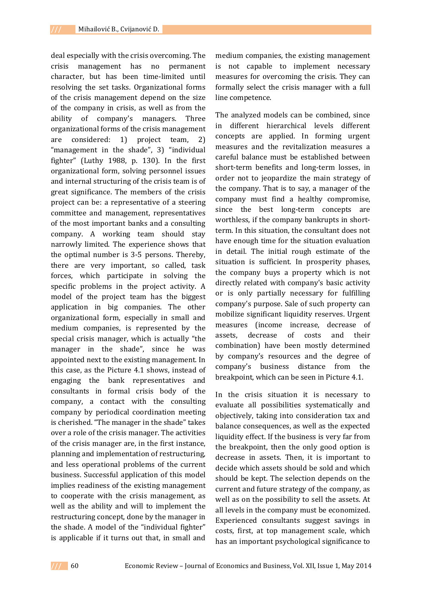deal especially with the crisis overcoming. The crisis management has no permanent character, but has been time-limited until resolving the set tasks. Organizational forms of the crisis management depend on the size of the company in crisis, as well as from the ability of company's managers. Three organizational forms of the crisis management are considered: 1) project team, 2) "management in the shade", 3) "individual fighter" (Luthy 1988, p. 130). In the first organizational form, solving personnel issues and internal structuring of the crisis team is of great significance. The members of the crisis project can be: a representative of a steering committee and management, representatives of the most important banks and a consulting company. A working team should stay narrowly limited. The experience shows that the optimal number is 3-5 persons. Thereby, there are very important, so called, task forces, which participate in solving the specific problems in the project activity. A model of the project team has the biggest application in big companies. The other organizational form, especially in small and medium companies, is represented by the special crisis manager, which is actually "the manager in the shade", since he was appointed next to the existing management. In this case, as the Picture 4.1 shows, instead of engaging the bank representatives and consultants in formal crisis body of the company, a contact with the consulting company by periodical coordination meeting is cherished. "The manager in the shade" takes over a role of the crisis manager. The activities of the crisis manager are, in the first instance, planning and implementation of restructuring, and less operational problems of the current business. Successful application of this model implies readiness of the existing management to cooperate with the crisis management, as well as the ability and will to implement the restructuring concept, done by the manager in the shade. A model of the "individual fighter" is applicable if it turns out that, in small and

medium companies, the existing management is not capable to implement necessary measures for overcoming the crisis. They can formally select the crisis manager with a full line competence.

The analyzed models can be combined, since in different hierarchical levels different concepts are applied. In forming urgent measures and the revitalization measures a careful balance must be established between short-term benefits and long-term losses, in order not to jeopardize the main strategy of the company. That is to say, a manager of the company must find a healthy compromise, since the best long-term concepts are worthless, if the company bankrupts in shortterm. In this situation, the consultant does not have enough time for the situation evaluation in detail. The initial rough estimate of the situation is sufficient. In prosperity phases, the company buys a property which is not directly related with company's basic activity or is only partially necessary for fulfilling company's purpose. Sale of such property can mobilize significant liquidity reserves. Urgent measures (income increase, decrease of assets, decrease of costs and their combination) have been mostly determined by company's resources and the degree of company's business distance from the breakpoint, which can be seen in Picture 4.1.

In the crisis situation it is necessary to evaluate all possibilities systematically and objectively, taking into consideration tax and balance consequences, as well as the expected liquidity effect. If the business is very far from the breakpoint, then the only good option is decrease in assets. Then, it is important to decide which assets should be sold and which should be kept. The selection depends on the current and future strategy of the company, as well as on the possibility to sell the assets. At all levels in the company must be economized. Experienced consultants suggest savings in costs, first, at top management scale, which has an important psychological significance to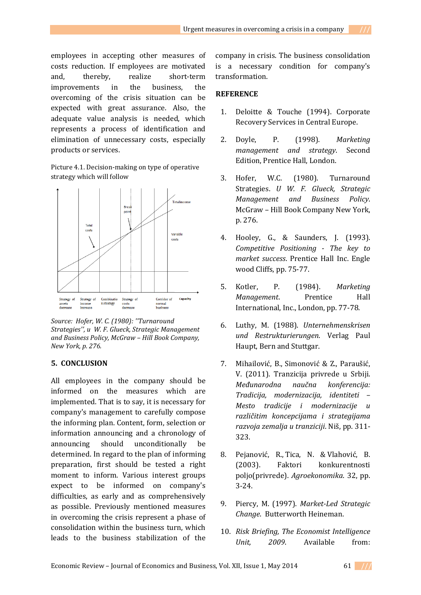employees in accepting other measures of costs reduction. If employees are motivated and, thereby, realize short-term improvements in the business, the overcoming of the crisis situation can be expected with great assurance. Also, the adequate value analysis is needed, which represents a process of identification and elimination of unnecessary costs, especially products or services.

Picture 4.1. Decision-making on type of operative strategy which will follow



*Source: Hofer, W. C. (1980): ''Turnaround Strategies'', u W. F. Glueck, Strategic Management and Business Policy, McGraw – Hill Book Company, New York, p. 276.*

#### **5. CONCLUSION**

All employees in the company should be informed on the measures which are implemented. That is to say, it is necessary for company's management to carefully compose the informing plan. Content, form, selection or information announcing and a chronology of announcing should unconditionally be determined. In regard to the plan of informing preparation, first should be tested a right moment to inform. Various interest groups expect to be informed on company's difficulties, as early and as comprehensively as possible. Previously mentioned measures in overcoming the crisis represent a phase of consolidation within the business turn, which leads to the business stabilization of the company in crisis. The business consolidation is a necessary condition for company's transformation.

#### **REFERENCE**

- 1. Deloitte & Touche (1994). Corporate Recovery Services in Central Europe.
- 2. Doyle, P. (1998). *Marketing management and strategy*. Second Edition, Prentice Hall, London.
- 3. Hofer, W.C. (1980). Turnaround Strategies. *U W. F. Glueck, Strategic Management and Business Policy*. McGraw – Hill Book Company New York, p. 276.
- 4. Hooley, G., & Saunders, J. (1993). *Competitive Positioning - The key to market success*. Prentice Hall Inc. Engle wood Cliffs, pp. 75-77.
- 5. Kotler, P. (1984). *Marketing Management*. Prentice Hall International, Inc., London, pp. 77-78.
- 6. Luthy, M. (1988). *Unternehmenskrisen und Restrukturierungen*. Verlag Paul Haupt, Bern and Stuttgar.
- 7. Mihailović, B., Simonović & Z., Paraušić, V. (2011). Tranzicija privrede u Srbiji. *Međunarodna naučna konferencija: Tradicija, modernizacija, identiteti – Mesto tradicije i modernizacije u različitim koncepcijama i strategijama razvoja zemalja u tranziciji*. Niš, pp. 311- 323.
- 8. Pejanović, R., Tica, N. & Vlahović, B. (2003). Faktori konkurentnosti poljo(privrede). *Agroekonomika*. 32, pp. 3-24.
- 9. Piercy, M. (1997). *Market-Led Strategic Change*. Butterworth Heineman.
- 10. *Risk Briefing, The Economist Intelligence Unit, 2009*. Available from: